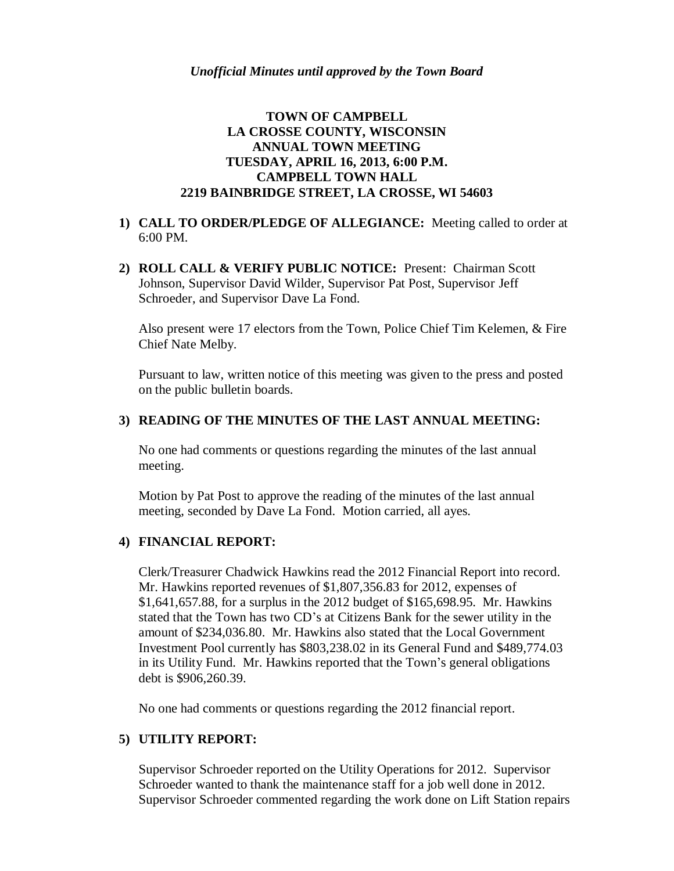# **TOWN OF CAMPBELL LA CROSSE COUNTY, WISCONSIN ANNUAL TOWN MEETING TUESDAY, APRIL 16, 2013, 6:00 P.M. CAMPBELL TOWN HALL 2219 BAINBRIDGE STREET, LA CROSSE, WI 54603**

- **1) CALL TO ORDER/PLEDGE OF ALLEGIANCE:** Meeting called to order at 6:00 PM.
- **2) ROLL CALL & VERIFY PUBLIC NOTICE:** Present: Chairman Scott Johnson, Supervisor David Wilder, Supervisor Pat Post, Supervisor Jeff Schroeder, and Supervisor Dave La Fond.

Also present were 17 electors from the Town, Police Chief Tim Kelemen, & Fire Chief Nate Melby.

Pursuant to law, written notice of this meeting was given to the press and posted on the public bulletin boards.

## **3) READING OF THE MINUTES OF THE LAST ANNUAL MEETING:**

No one had comments or questions regarding the minutes of the last annual meeting.

Motion by Pat Post to approve the reading of the minutes of the last annual meeting, seconded by Dave La Fond. Motion carried, all ayes.

### **4) FINANCIAL REPORT:**

Clerk/Treasurer Chadwick Hawkins read the 2012 Financial Report into record. Mr. Hawkins reported revenues of \$1,807,356.83 for 2012, expenses of \$1,641,657.88, for a surplus in the 2012 budget of \$165,698.95. Mr. Hawkins stated that the Town has two CD's at Citizens Bank for the sewer utility in the amount of \$234,036.80. Mr. Hawkins also stated that the Local Government Investment Pool currently has \$803,238.02 in its General Fund and \$489,774.03 in its Utility Fund. Mr. Hawkins reported that the Town's general obligations debt is \$906,260.39.

No one had comments or questions regarding the 2012 financial report.

# **5) UTILITY REPORT:**

Supervisor Schroeder reported on the Utility Operations for 2012. Supervisor Schroeder wanted to thank the maintenance staff for a job well done in 2012. Supervisor Schroeder commented regarding the work done on Lift Station repairs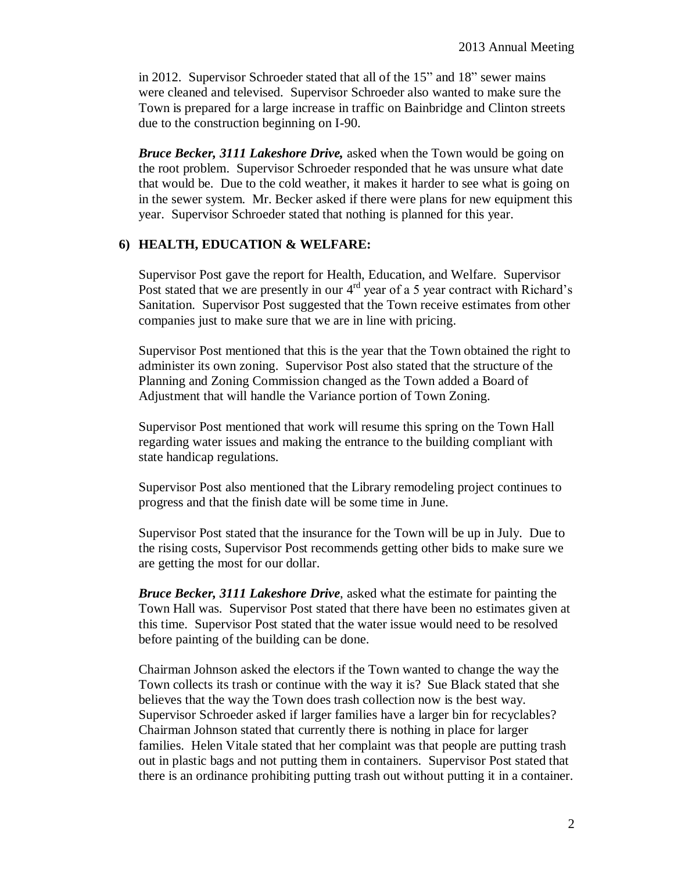in 2012. Supervisor Schroeder stated that all of the 15" and 18" sewer mains were cleaned and televised. Supervisor Schroeder also wanted to make sure the Town is prepared for a large increase in traffic on Bainbridge and Clinton streets due to the construction beginning on I-90.

*Bruce Becker, 3111 Lakeshore Drive,* asked when the Town would be going on the root problem. Supervisor Schroeder responded that he was unsure what date that would be. Due to the cold weather, it makes it harder to see what is going on in the sewer system. Mr. Becker asked if there were plans for new equipment this year. Supervisor Schroeder stated that nothing is planned for this year.

### **6) HEALTH, EDUCATION & WELFARE:**

Supervisor Post gave the report for Health, Education, and Welfare. Supervisor Post stated that we are presently in our  $4<sup>rd</sup>$  year of a 5 year contract with Richard's Sanitation. Supervisor Post suggested that the Town receive estimates from other companies just to make sure that we are in line with pricing.

Supervisor Post mentioned that this is the year that the Town obtained the right to administer its own zoning. Supervisor Post also stated that the structure of the Planning and Zoning Commission changed as the Town added a Board of Adjustment that will handle the Variance portion of Town Zoning.

Supervisor Post mentioned that work will resume this spring on the Town Hall regarding water issues and making the entrance to the building compliant with state handicap regulations.

Supervisor Post also mentioned that the Library remodeling project continues to progress and that the finish date will be some time in June.

Supervisor Post stated that the insurance for the Town will be up in July. Due to the rising costs, Supervisor Post recommends getting other bids to make sure we are getting the most for our dollar.

*Bruce Becker, 3111 Lakeshore Drive*, asked what the estimate for painting the Town Hall was. Supervisor Post stated that there have been no estimates given at this time. Supervisor Post stated that the water issue would need to be resolved before painting of the building can be done.

Chairman Johnson asked the electors if the Town wanted to change the way the Town collects its trash or continue with the way it is? Sue Black stated that she believes that the way the Town does trash collection now is the best way. Supervisor Schroeder asked if larger families have a larger bin for recyclables? Chairman Johnson stated that currently there is nothing in place for larger families. Helen Vitale stated that her complaint was that people are putting trash out in plastic bags and not putting them in containers. Supervisor Post stated that there is an ordinance prohibiting putting trash out without putting it in a container.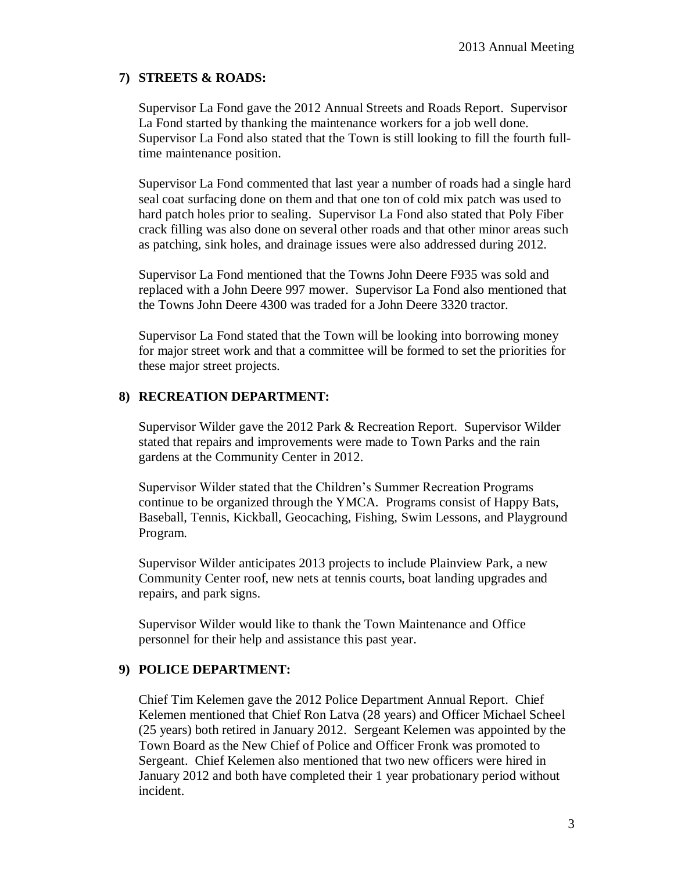# **7) STREETS & ROADS:**

Supervisor La Fond gave the 2012 Annual Streets and Roads Report. Supervisor La Fond started by thanking the maintenance workers for a job well done. Supervisor La Fond also stated that the Town is still looking to fill the fourth fulltime maintenance position.

Supervisor La Fond commented that last year a number of roads had a single hard seal coat surfacing done on them and that one ton of cold mix patch was used to hard patch holes prior to sealing. Supervisor La Fond also stated that Poly Fiber crack filling was also done on several other roads and that other minor areas such as patching, sink holes, and drainage issues were also addressed during 2012.

Supervisor La Fond mentioned that the Towns John Deere F935 was sold and replaced with a John Deere 997 mower. Supervisor La Fond also mentioned that the Towns John Deere 4300 was traded for a John Deere 3320 tractor.

Supervisor La Fond stated that the Town will be looking into borrowing money for major street work and that a committee will be formed to set the priorities for these major street projects.

## **8) RECREATION DEPARTMENT:**

Supervisor Wilder gave the 2012 Park & Recreation Report. Supervisor Wilder stated that repairs and improvements were made to Town Parks and the rain gardens at the Community Center in 2012.

Supervisor Wilder stated that the Children's Summer Recreation Programs continue to be organized through the YMCA. Programs consist of Happy Bats, Baseball, Tennis, Kickball, Geocaching, Fishing, Swim Lessons, and Playground Program.

Supervisor Wilder anticipates 2013 projects to include Plainview Park, a new Community Center roof, new nets at tennis courts, boat landing upgrades and repairs, and park signs.

Supervisor Wilder would like to thank the Town Maintenance and Office personnel for their help and assistance this past year.

### **9) POLICE DEPARTMENT:**

Chief Tim Kelemen gave the 2012 Police Department Annual Report. Chief Kelemen mentioned that Chief Ron Latva (28 years) and Officer Michael Scheel (25 years) both retired in January 2012. Sergeant Kelemen was appointed by the Town Board as the New Chief of Police and Officer Fronk was promoted to Sergeant. Chief Kelemen also mentioned that two new officers were hired in January 2012 and both have completed their 1 year probationary period without incident.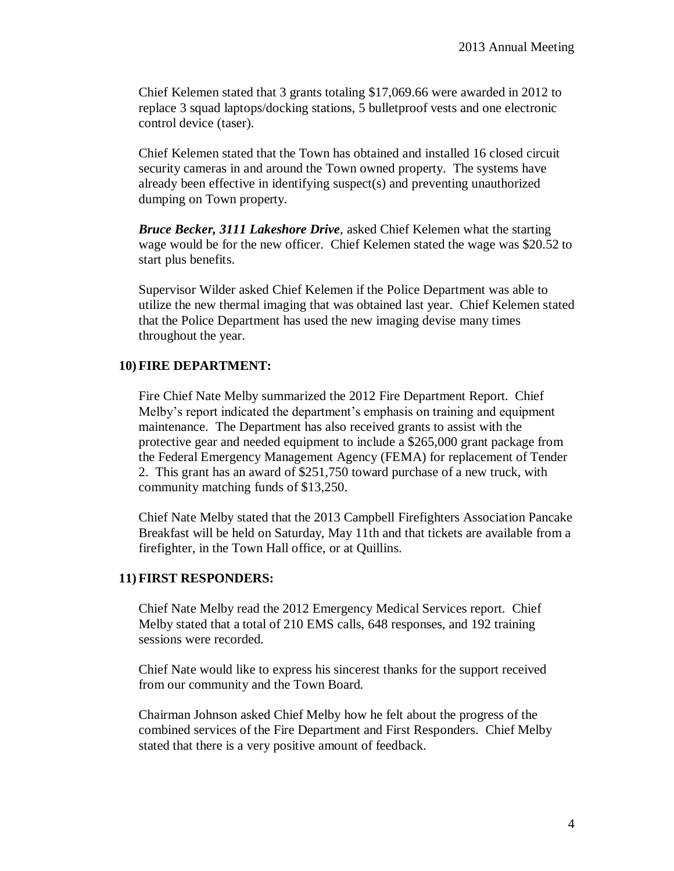Chief Kelemen stated that 3 grants totaling \$17,069.66 were awarded in 2012 to replace 3 squad laptops/docking stations, 5 bulletproof vests and one electronic control device (taser).

Chief Kelemen stated that the Town has obtained and installed 16 closed circuit security cameras in and around the Town owned property. The systems have already been effective in identifying suspect(s) and preventing unauthorized dumping on Town property.

*Bruce Becker, 3111 Lakeshore Drive*, asked Chief Kelemen what the starting wage would be for the new officer. Chief Kelemen stated the wage was \$20.52 to start plus benefits.

Supervisor Wilder asked Chief Kelemen if the Police Department was able to utilize the new thermal imaging that was obtained last year. Chief Kelemen stated that the Police Department has used the new imaging devise many times throughout the year.

#### **10) FIRE DEPARTMENT:**

Fire Chief Nate Melby summarized the 2012 Fire Department Report. Chief Melby's report indicated the department's emphasis on training and equipment maintenance. The Department has also received grants to assist with the protective gear and needed equipment to include a \$265,000 grant package from the Federal Emergency Management Agency (FEMA) for replacement of Tender 2. This grant has an award of \$251,750 toward purchase of a new truck, with community matching funds of \$13,250.

Chief Nate Melby stated that the 2013 Campbell Firefighters Association Pancake Breakfast will be held on Saturday, May 11th and that tickets are available from a firefighter, in the Town Hall office, or at Quillins.

#### **11) FIRST RESPONDERS:**

Chief Nate Melby read the 2012 Emergency Medical Services report. Chief Melby stated that a total of 210 EMS calls, 648 responses, and 192 training sessions were recorded.

Chief Nate would like to express his sincerest thanks for the support received from our community and the Town Board.

Chairman Johnson asked Chief Melby how he felt about the progress of the combined services of the Fire Department and First Responders. Chief Melby stated that there is a very positive amount of feedback.